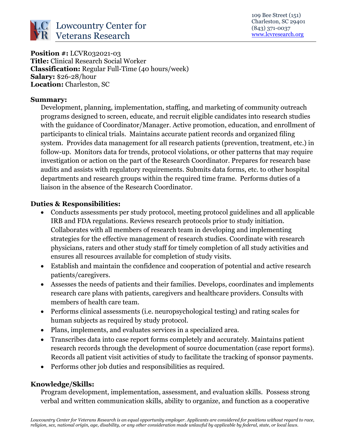

**Position #:** LCVR032021-03 **Title:** Clinical Research Social Worker **Classification:** Regular Full-Time (40 hours/week) **Salary:** \$26-28/hour **Location:** Charleston, SC

#### **Summary:**

Development, planning, implementation, staffing, and marketing of community outreach programs designed to screen, educate, and recruit eligible candidates into research studies with the guidance of Coordinator/Manager. Active promotion, education, and enrollment of participants to clinical trials. Maintains accurate patient records and organized filing system. Provides data management for all research patients (prevention, treatment, etc.) in follow-up. Monitors data for trends, protocol violations, or other patterns that may require investigation or action on the part of the Research Coordinator. Prepares for research base audits and assists with regulatory requirements. Submits data forms, etc. to other hospital departments and research groups within the required time frame. Performs duties of a liaison in the absence of the Research Coordinator.

#### **Duties & Responsibilities:**

- Conducts assessments per study protocol, meeting protocol guidelines and all applicable IRB and FDA regulations. Reviews research protocols prior to study initiation. Collaborates with all members of research team in developing and implementing strategies for the effective management of research studies. Coordinate with research physicians, raters and other study staff for timely completion of all study activities and ensures all resources available for completion of study visits.
- Establish and maintain the confidence and cooperation of potential and active research patients/caregivers.
- Assesses the needs of patients and their families. Develops, coordinates and implements research care plans with patients, caregivers and healthcare providers. Consults with members of health care team.
- Performs clinical assessments (i.e. neuropsychological testing) and rating scales for human subjects as required by study protocol.
- Plans, implements, and evaluates services in a specialized area.
- Transcribes data into case report forms completely and accurately. Maintains patient research records through the development of source documentation (case report forms). Records all patient visit activities of study to facilitate the tracking of sponsor payments.
- Performs other job duties and responsibilities as required.

### **Knowledge/Skills:**

Program development, implementation, assessment, and evaluation skills. Possess strong verbal and written communication skills, ability to organize, and function as a cooperative